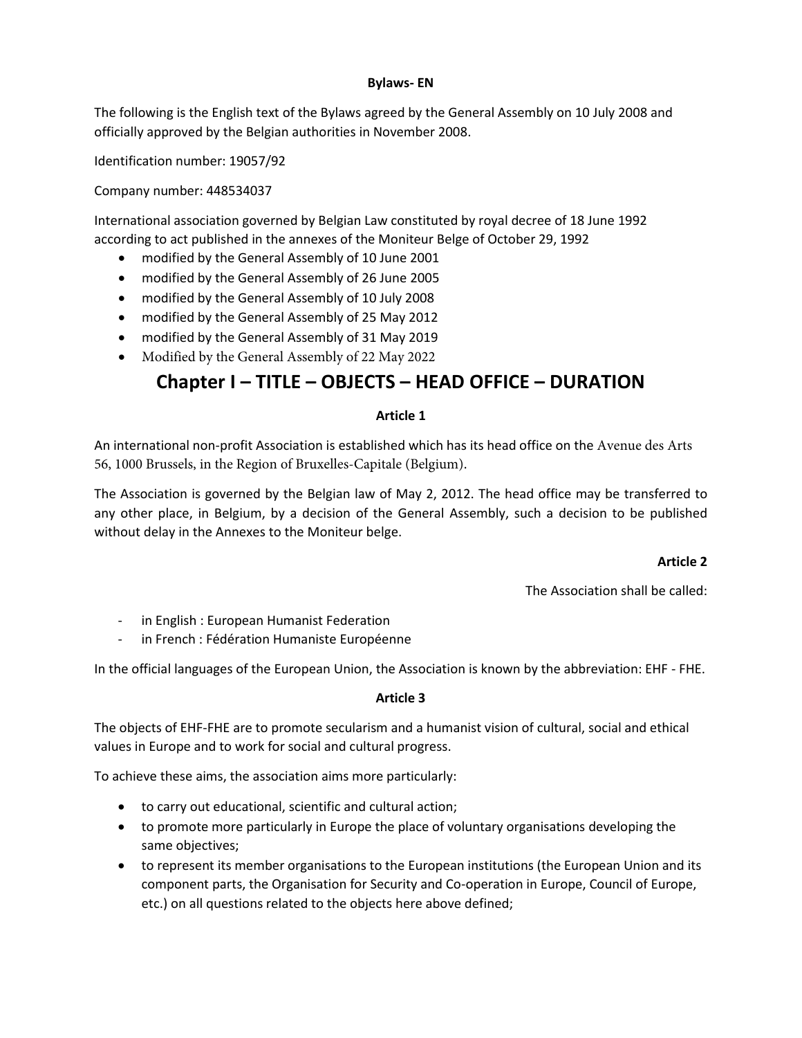#### **Bylaws- EN**

The following is the English text of the Bylaws agreed by the General Assembly on 10 July 2008 and officially approved by the Belgian authorities in November 2008.

Identification number: 19057/92

Company number: 448534037

International association governed by Belgian Law constituted by royal decree of 18 June 1992 according to act published in the annexes of the Moniteur Belge of October 29, 1992

- modified by the General Assembly of 10 June 2001
- modified by the General Assembly of 26 June 2005
- modified by the General Assembly of 10 July 2008
- modified by the General Assembly of 25 May 2012
- modified by the General Assembly of 31 May 2019
- Modified by the General Assembly of 22 May 2022

## **Chapter I – TITLE – OBJECTS – HEAD OFFICE – DURATION**

#### **Article 1**

An international non-profit Association is established which has its head office on the Avenue des Arts 56, 1000 Brussels, in the Region of Bruxelles-Capitale (Belgium).

The Association is governed by the Belgian law of May 2, 2012. The head office may be transferred to any other place, in Belgium, by a decision of the General Assembly, such a decision to be published without delay in the Annexes to the Moniteur belge.

#### **Article 2**

The Association shall be called:

- in English : European Humanist Federation
- in French : Fédération Humaniste Européenne

In the official languages of the European Union, the Association is known by the abbreviation: EHF - FHE.

#### **Article 3**

The objects of EHF-FHE are to promote secularism and a humanist vision of cultural, social and ethical values in Europe and to work for social and cultural progress.

To achieve these aims, the association aims more particularly:

- to carry out educational, scientific and cultural action;
- to promote more particularly in Europe the place of voluntary organisations developing the same objectives;
- to represent its member organisations to the European institutions (the European Union and its component parts, the Organisation for Security and Co-operation in Europe, Council of Europe, etc.) on all questions related to the objects here above defined;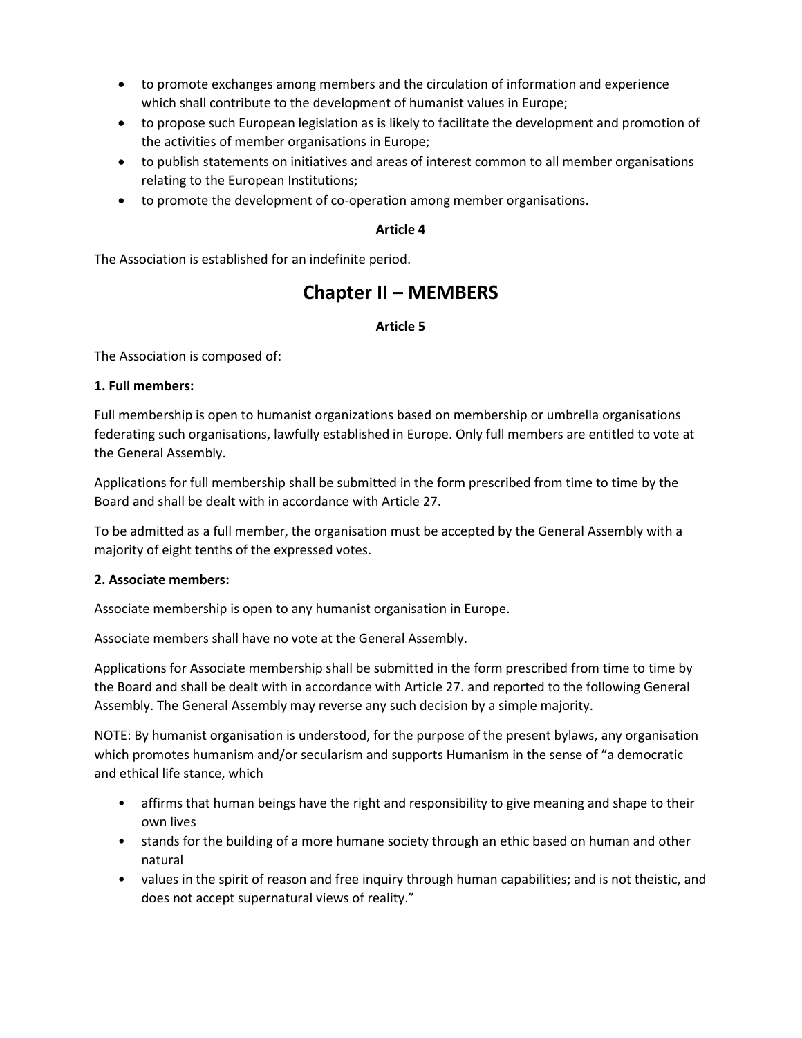- to promote exchanges among members and the circulation of information and experience which shall contribute to the development of humanist values in Europe;
- to propose such European legislation as is likely to facilitate the development and promotion of the activities of member organisations in Europe;
- to publish statements on initiatives and areas of interest common to all member organisations relating to the European Institutions;
- to promote the development of co-operation among member organisations.

The Association is established for an indefinite period.

# **Chapter II – MEMBERS**

## **Article 5**

The Association is composed of:

#### **1. Full members:**

Full membership is open to humanist organizations based on membership or umbrella organisations federating such organisations, lawfully established in Europe. Only full members are entitled to vote at the General Assembly.

Applications for full membership shall be submitted in the form prescribed from time to time by the Board and shall be dealt with in accordance with Article 27.

To be admitted as a full member, the organisation must be accepted by the General Assembly with a majority of eight tenths of the expressed votes.

#### **2. Associate members:**

Associate membership is open to any humanist organisation in Europe.

Associate members shall have no vote at the General Assembly.

Applications for Associate membership shall be submitted in the form prescribed from time to time by the Board and shall be dealt with in accordance with Article 27. and reported to the following General Assembly. The General Assembly may reverse any such decision by a simple majority.

NOTE: By humanist organisation is understood, for the purpose of the present bylaws, any organisation which promotes humanism and/or secularism and supports Humanism in the sense of "a democratic and ethical life stance, which

- affirms that human beings have the right and responsibility to give meaning and shape to their own lives
- stands for the building of a more humane society through an ethic based on human and other natural
- values in the spirit of reason and free inquiry through human capabilities; and is not theistic, and does not accept supernatural views of reality."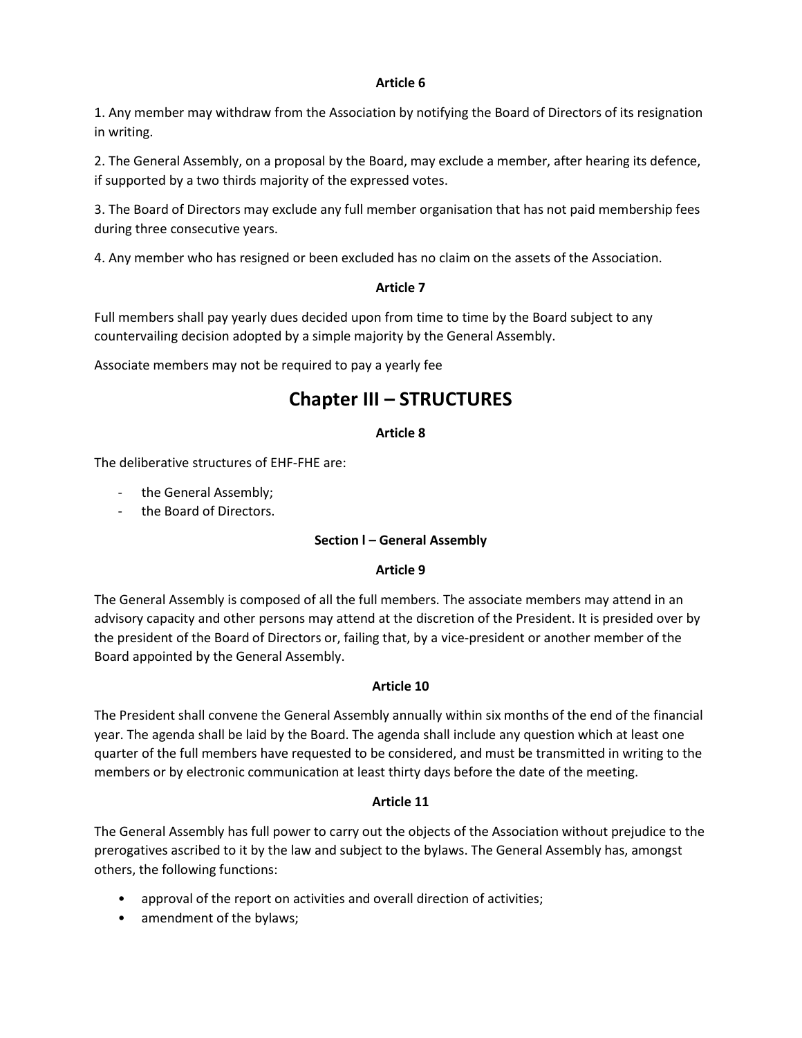1. Any member may withdraw from the Association by notifying the Board of Directors of its resignation in writing.

2. The General Assembly, on a proposal by the Board, may exclude a member, after hearing its defence, if supported by a two thirds majority of the expressed votes.

3. The Board of Directors may exclude any full member organisation that has not paid membership fees during three consecutive years.

4. Any member who has resigned or been excluded has no claim on the assets of the Association.

#### **Article 7**

Full members shall pay yearly dues decided upon from time to time by the Board subject to any countervailing decision adopted by a simple majority by the General Assembly.

Associate members may not be required to pay a yearly fee

## **Chapter III – STRUCTURES**

#### **Article 8**

The deliberative structures of EHF-FHE are:

- the General Assembly;
- the Board of Directors.

#### **Section l – General Assembly**

#### **Article 9**

The General Assembly is composed of all the full members. The associate members may attend in an advisory capacity and other persons may attend at the discretion of the President. It is presided over by the president of the Board of Directors or, failing that, by a vice-president or another member of the Board appointed by the General Assembly.

#### **Article 10**

The President shall convene the General Assembly annually within six months of the end of the financial year. The agenda shall be laid by the Board. The agenda shall include any question which at least one quarter of the full members have requested to be considered, and must be transmitted in writing to the members or by electronic communication at least thirty days before the date of the meeting.

#### **Article 11**

The General Assembly has full power to carry out the objects of the Association without prejudice to the prerogatives ascribed to it by the law and subject to the bylaws. The General Assembly has, amongst others, the following functions:

- approval of the report on activities and overall direction of activities;
- amendment of the bylaws;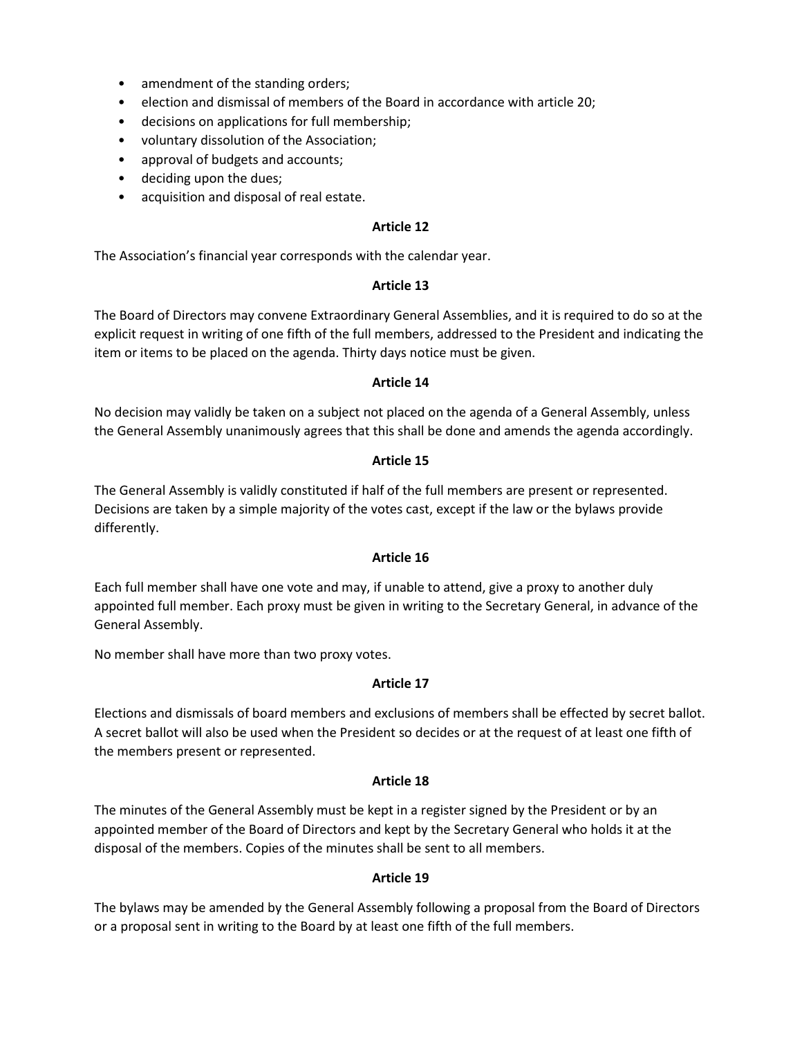- amendment of the standing orders;
- election and dismissal of members of the Board in accordance with article 20;
- decisions on applications for full membership;
- voluntary dissolution of the Association;
- approval of budgets and accounts;
- deciding upon the dues;
- acquisition and disposal of real estate.

The Association's financial year corresponds with the calendar year.

#### **Article 13**

The Board of Directors may convene Extraordinary General Assemblies, and it is required to do so at the explicit request in writing of one fifth of the full members, addressed to the President and indicating the item or items to be placed on the agenda. Thirty days notice must be given.

#### **Article 14**

No decision may validly be taken on a subject not placed on the agenda of a General Assembly, unless the General Assembly unanimously agrees that this shall be done and amends the agenda accordingly.

#### **Article 15**

The General Assembly is validly constituted if half of the full members are present or represented. Decisions are taken by a simple majority of the votes cast, except if the law or the bylaws provide differently.

#### **Article 16**

Each full member shall have one vote and may, if unable to attend, give a proxy to another duly appointed full member. Each proxy must be given in writing to the Secretary General, in advance of the General Assembly.

No member shall have more than two proxy votes.

#### **Article 17**

Elections and dismissals of board members and exclusions of members shall be effected by secret ballot. A secret ballot will also be used when the President so decides or at the request of at least one fifth of the members present or represented.

#### **Article 18**

The minutes of the General Assembly must be kept in a register signed by the President or by an appointed member of the Board of Directors and kept by the Secretary General who holds it at the disposal of the members. Copies of the minutes shall be sent to all members.

#### **Article 19**

The bylaws may be amended by the General Assembly following a proposal from the Board of Directors or a proposal sent in writing to the Board by at least one fifth of the full members.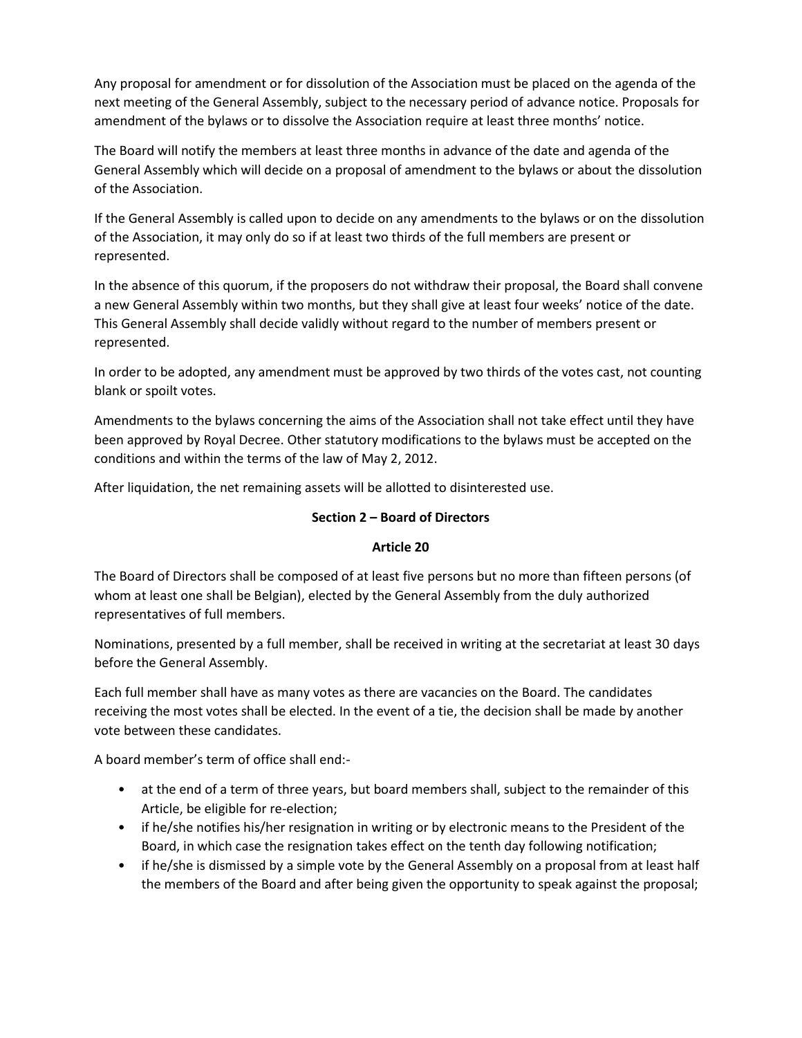Any proposal for amendment or for dissolution of the Association must be placed on the agenda of the next meeting of the General Assembly, subject to the necessary period of advance notice. Proposals for amendment of the bylaws or to dissolve the Association require at least three months' notice.

The Board will notify the members at least three months in advance of the date and agenda of the General Assembly which will decide on a proposal of amendment to the bylaws or about the dissolution of the Association.

If the General Assembly is called upon to decide on any amendments to the bylaws or on the dissolution of the Association, it may only do so if at least two thirds of the full members are present or represented.

In the absence of this quorum, if the proposers do not withdraw their proposal, the Board shall convene a new General Assembly within two months, but they shall give at least four weeks' notice of the date. This General Assembly shall decide validly without regard to the number of members present or represented.

In order to be adopted, any amendment must be approved by two thirds of the votes cast, not counting blank or spoilt votes.

Amendments to the bylaws concerning the aims of the Association shall not take effect until they have been approved by Royal Decree. Other statutory modifications to the bylaws must be accepted on the conditions and within the terms of the law of May 2, 2012.

After liquidation, the net remaining assets will be allotted to disinterested use.

### **Section 2 – Board of Directors**

#### **Article 20**

The Board of Directors shall be composed of at least five persons but no more than fifteen persons (of whom at least one shall be Belgian), elected by the General Assembly from the duly authorized representatives of full members.

Nominations, presented by a full member, shall be received in writing at the secretariat at least 30 days before the General Assembly.

Each full member shall have as many votes as there are vacancies on the Board. The candidates receiving the most votes shall be elected. In the event of a tie, the decision shall be made by another vote between these candidates.

A board member's term of office shall end:-

- at the end of a term of three years, but board members shall, subject to the remainder of this Article, be eligible for re-election;
- if he/she notifies his/her resignation in writing or by electronic means to the President of the Board, in which case the resignation takes effect on the tenth day following notification;
- if he/she is dismissed by a simple vote by the General Assembly on a proposal from at least half the members of the Board and after being given the opportunity to speak against the proposal;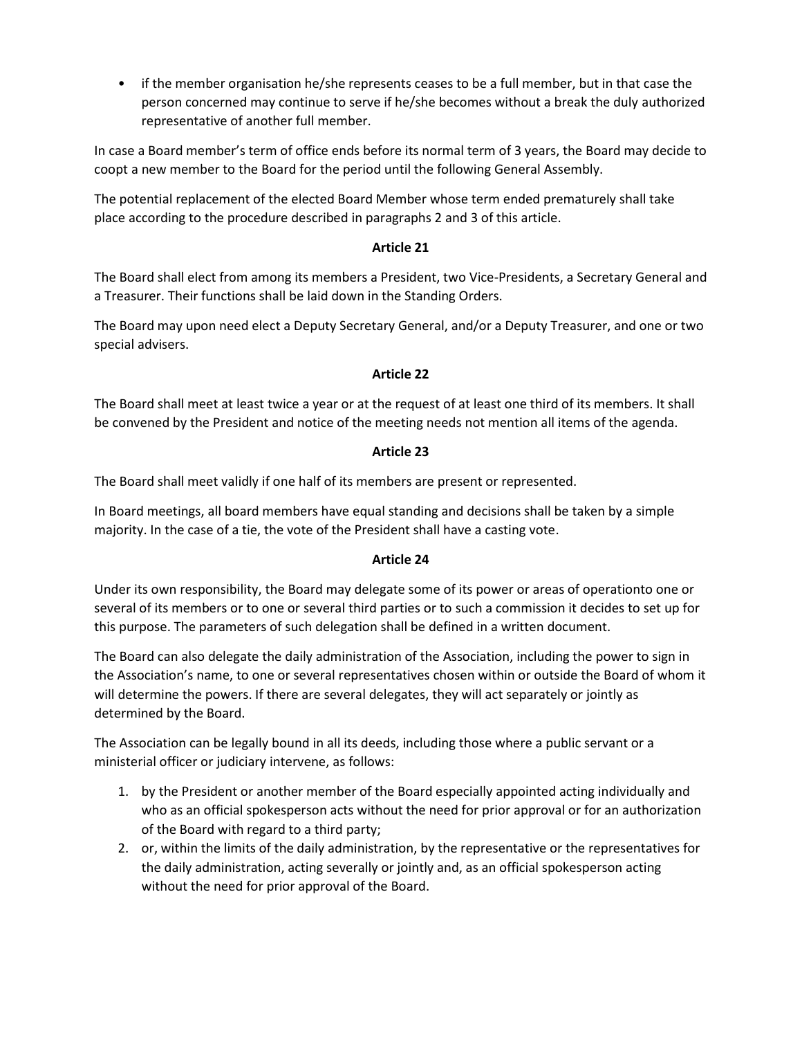• if the member organisation he/she represents ceases to be a full member, but in that case the person concerned may continue to serve if he/she becomes without a break the duly authorized representative of another full member.

In case a Board member's term of office ends before its normal term of 3 years, the Board may decide to coopt a new member to the Board for the period until the following General Assembly.

The potential replacement of the elected Board Member whose term ended prematurely shall take place according to the procedure described in paragraphs 2 and 3 of this article.

## **Article 21**

The Board shall elect from among its members a President, two Vice-Presidents, a Secretary General and a Treasurer. Their functions shall be laid down in the Standing Orders.

The Board may upon need elect a Deputy Secretary General, and/or a Deputy Treasurer, and one or two special advisers.

#### **Article 22**

The Board shall meet at least twice a year or at the request of at least one third of its members. It shall be convened by the President and notice of the meeting needs not mention all items of the agenda.

## **Article 23**

The Board shall meet validly if one half of its members are present or represented.

In Board meetings, all board members have equal standing and decisions shall be taken by a simple majority. In the case of a tie, the vote of the President shall have a casting vote.

#### **Article 24**

Under its own responsibility, the Board may delegate some of its power or areas of operationto one or several of its members or to one or several third parties or to such a commission it decides to set up for this purpose. The parameters of such delegation shall be defined in a written document.

The Board can also delegate the daily administration of the Association, including the power to sign in the Association's name, to one or several representatives chosen within or outside the Board of whom it will determine the powers. If there are several delegates, they will act separately or jointly as determined by the Board.

The Association can be legally bound in all its deeds, including those where a public servant or a ministerial officer or judiciary intervene, as follows:

- 1. by the President or another member of the Board especially appointed acting individually and who as an official spokesperson acts without the need for prior approval or for an authorization of the Board with regard to a third party;
- 2. or, within the limits of the daily administration, by the representative or the representatives for the daily administration, acting severally or jointly and, as an official spokesperson acting without the need for prior approval of the Board.